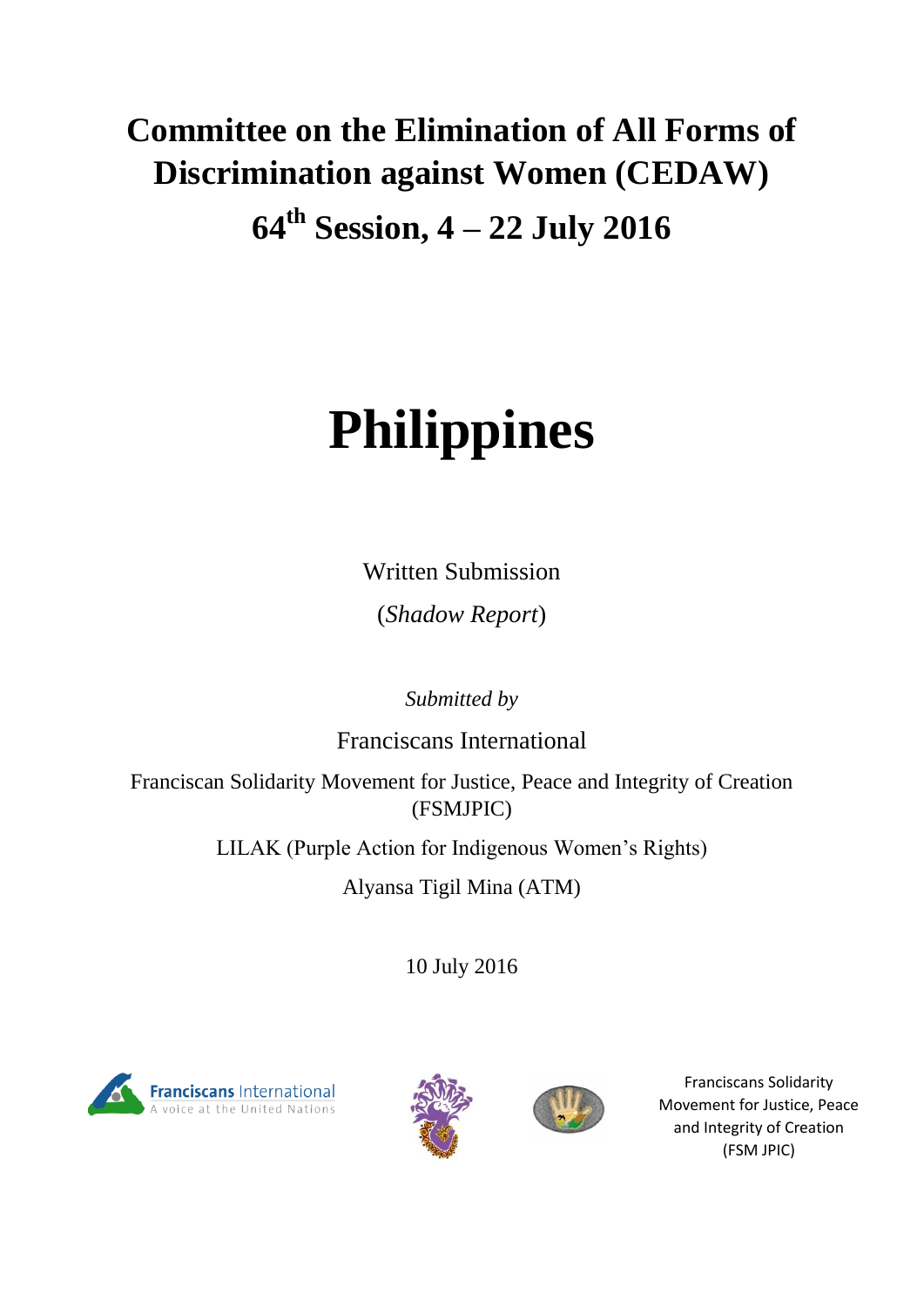# **Committee on the Elimination of All Forms of Discrimination against Women (CEDAW)**

**64th Session, 4 – 22 July 2016** 

# **Philippines**

Written Submission

(*Shadow Report*)

*Submitted by* 

Franciscans International

Franciscan Solidarity Movement for Justice, Peace and Integrity of Creation (FSMJPIC)

LILAK (Purple Action for Indigenous Women's Rights)

Alyansa Tigil Mina (ATM)

10 July 2016







Franciscans Solidarity Movement for Justice, Peace and Integrity of Creation (FSM JPIC)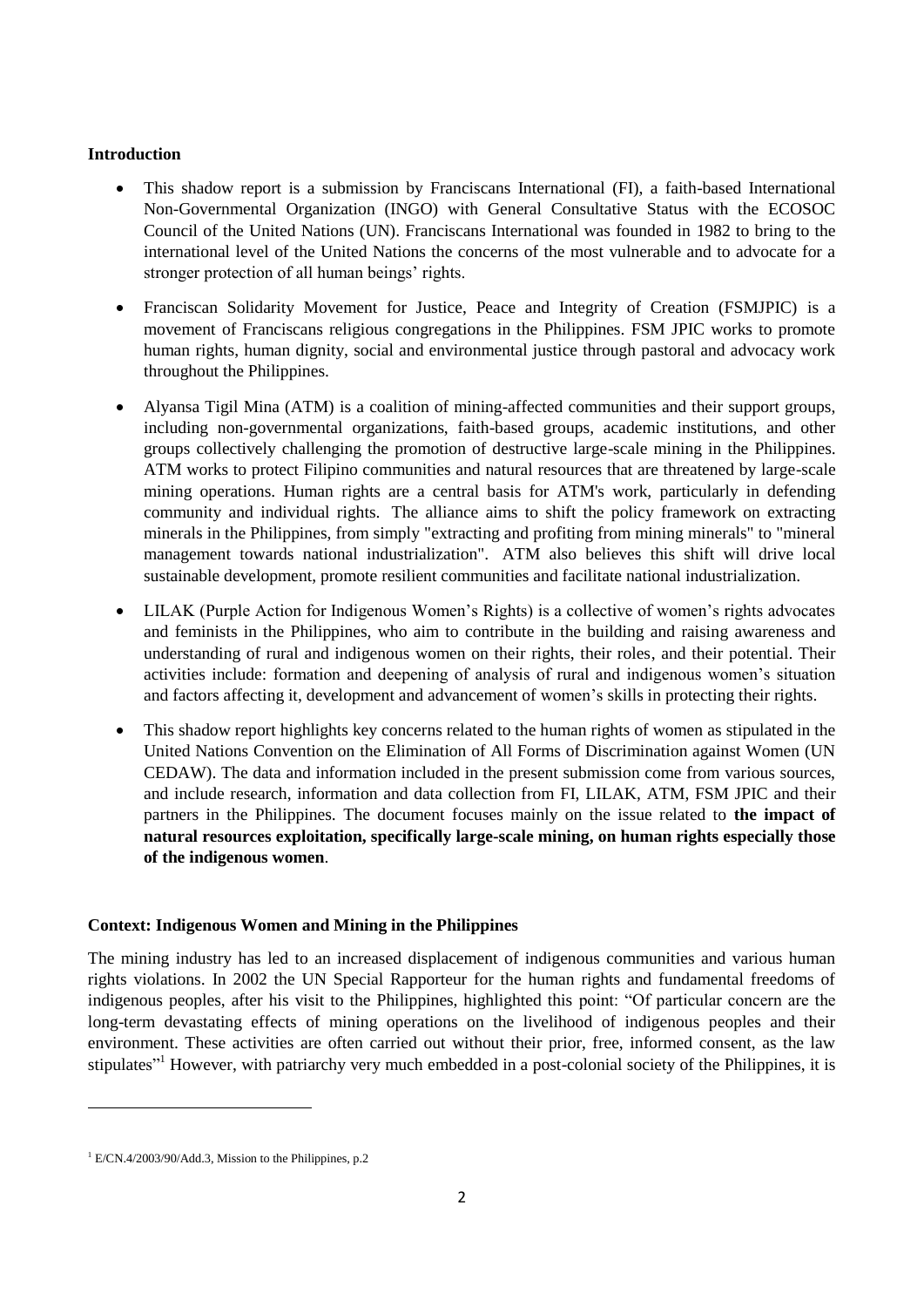# **Introduction**

- This shadow report is a submission by Franciscans International (FI), a faith-based International Non-Governmental Organization (INGO) with General Consultative Status with the ECOSOC Council of the United Nations (UN). Franciscans International was founded in 1982 to bring to the international level of the United Nations the concerns of the most vulnerable and to advocate for a stronger protection of all human beings' rights.
- Franciscan Solidarity Movement for Justice, Peace and Integrity of Creation (FSMJPIC) is a movement of Franciscans religious congregations in the Philippines. FSM JPIC works to promote human rights, human dignity, social and environmental justice through pastoral and advocacy work throughout the Philippines.
- Alyansa Tigil Mina (ATM) is a coalition of mining-affected communities and their support groups, including non-governmental organizations, faith-based groups, academic institutions, and other groups collectively challenging the promotion of destructive large-scale mining in the Philippines. ATM works to protect Filipino communities and natural resources that are threatened by large-scale mining operations. Human rights are a central basis for ATM's work, particularly in defending community and individual rights. The alliance aims to shift the policy framework on extracting minerals in the Philippines, from simply "extracting and profiting from mining minerals" to "mineral management towards national industrialization". ATM also believes this shift will drive local sustainable development, promote resilient communities and facilitate national industrialization.
- LILAK (Purple Action for Indigenous Women's Rights) is a collective of women's rights advocates and feminists in the Philippines, who aim to contribute in the building and raising awareness and understanding of rural and indigenous women on their rights, their roles, and their potential. Their activities include: formation and deepening of analysis of rural and indigenous women's situation and factors affecting it, development and advancement of women's skills in protecting their rights.
- This shadow report highlights key concerns related to the human rights of women as stipulated in the United Nations Convention on the Elimination of All Forms of Discrimination against Women (UN CEDAW). The data and information included in the present submission come from various sources, and include research, information and data collection from FI, LILAK, ATM, FSM JPIC and their partners in the Philippines. The document focuses mainly on the issue related to **the impact of natural resources exploitation, specifically large-scale mining, on human rights especially those of the indigenous women**.

# **Context: Indigenous Women and Mining in the Philippines**

The mining industry has led to an increased displacement of indigenous communities and various human rights violations. In 2002 the UN Special Rapporteur for the human rights and fundamental freedoms of indigenous peoples, after his visit to the Philippines, highlighted this point: "Of particular concern are the long-term devastating effects of mining operations on the livelihood of indigenous peoples and their environment. These activities are often carried out without their prior, free, informed consent, as the law stipulates<sup>"1</sup> However, with patriarchy very much embedded in a post-colonial society of the Philippines, it is

 $1$  E/CN.4/2003/90/Add.3, Mission to the Philippines, p.2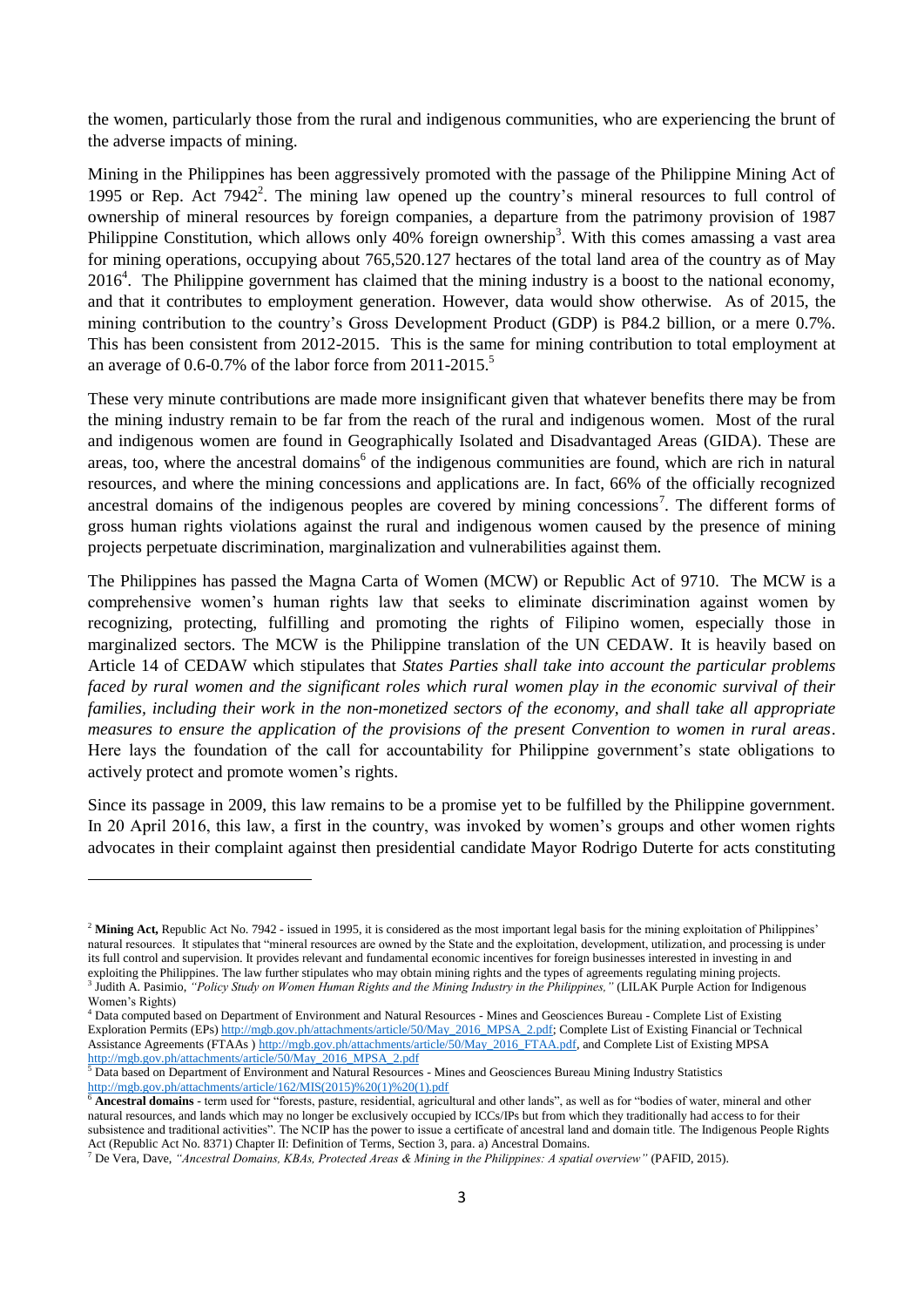the women, particularly those from the rural and indigenous communities, who are experiencing the brunt of the adverse impacts of mining.

Mining in the Philippines has been aggressively promoted with the passage of the Philippine Mining Act of 1995 or Rep. Act 7942<sup>2</sup>. The mining law opened up the country's mineral resources to full control of ownership of mineral resources by foreign companies, a departure from the patrimony provision of 1987 Philippine Constitution, which allows only 40% foreign ownership<sup>3</sup>. With this comes amassing a vast area for mining operations, occupying about 765,520.127 hectares of the total land area of the country as of May  $2016<sup>4</sup>$ . The Philippine government has claimed that the mining industry is a boost to the national economy, and that it contributes to employment generation. However, data would show otherwise. As of 2015, the mining contribution to the country's Gross Development Product (GDP) is P84.2 billion, or a mere 0.7%. This has been consistent from 2012-2015. This is the same for mining contribution to total employment at an average of 0.6-0.7% of the labor force from 2011-2015.<sup>5</sup>

These very minute contributions are made more insignificant given that whatever benefits there may be from the mining industry remain to be far from the reach of the rural and indigenous women. Most of the rural and indigenous women are found in Geographically Isolated and Disadvantaged Areas (GIDA). These are areas, too, where the ancestral domains<sup>6</sup> of the indigenous communities are found, which are rich in natural resources, and where the mining concessions and applications are. In fact, 66% of the officially recognized ancestral domains of the indigenous peoples are covered by mining concessions<sup>7</sup>. The different forms of gross human rights violations against the rural and indigenous women caused by the presence of mining projects perpetuate discrimination, marginalization and vulnerabilities against them.

The Philippines has passed the Magna Carta of Women (MCW) or Republic Act of 9710. The MCW is a comprehensive women's human rights law that seeks to eliminate discrimination against women by recognizing, protecting, fulfilling and promoting the rights of Filipino women, especially those in marginalized sectors. The MCW is the Philippine translation of the UN CEDAW. It is heavily based on Article 14 of CEDAW which stipulates that *States Parties shall take into account the particular problems faced by rural women and the significant roles which rural women play in the economic survival of their families, including their work in the non-monetized sectors of the economy, and shall take all appropriate measures to ensure the application of the provisions of the present Convention to women in rural areas*. Here lays the foundation of the call for accountability for Philippine government's state obligations to actively protect and promote women's rights.

Since its passage in 2009, this law remains to be a promise yet to be fulfilled by the Philippine government. In 20 April 2016, this law, a first in the country, was invoked by women's groups and other women rights advocates in their complaint against then presidential candidate Mayor Rodrigo Duterte for acts constituting

1

<sup>&</sup>lt;sup>2</sup> Mining Act, Republic Act No. 7942 - issued in 1995, it is considered as the most important legal basis for the mining exploitation of Philippines' natural resources. It stipulates that "mineral resources are owned by the State and the exploitation, development, utilization, and processing is under its full control and supervision. It provides relevant and fundamental economic incentives for foreign businesses interested in investing in and exploiting the Philippines. The law further stipulates who may obtain mining rights and the types of agreements regulating mining projects. 3 Judith A. Pasimio, *"Policy Study on Women Human Rights and the Mining Industry in the Philippines,"* (LILAK Purple Action for Indigenous Women's Rights)

<sup>4</sup> Data computed based on Department of Environment and Natural Resources - Mines and Geosciences Bureau - Complete List of Existing Exploration Permits (EPs[\) http://mgb.gov.ph/attachments/article/50/May\\_2016\\_MPSA\\_2.pdf;](http://mgb.gov.ph/attachments/article/50/May_2016_MPSA_2.pdf) Complete List of Existing Financial or Technical Assistance Agreements (FTAAs ) [http://mgb.gov.ph/attachments/article/50/May\\_2016\\_FTAA.pdf,](http://mgb.gov.ph/attachments/article/50/May_2016_FTAA.pdf) and Complete List of Existing MPSA [http://mgb.gov.ph/attachments/article/50/May\\_2016\\_MPSA\\_2.pdf](http://mgb.gov.ph/attachments/article/50/May_2016_MPSA_2.pdf)

<sup>&</sup>lt;sup>5</sup> Data based on Department of Environment and Natural Resources - Mines and Geosciences Bureau Mining Industry Statistics [http://mgb.gov.ph/attachments/article/162/MIS\(2015\)%20\(1\)%20\(1\).pdf](http://mgb.gov.ph/attachments/article/162/MIS(2015)%20(1)%20(1).pdf)

<sup>6</sup> **Ancestral domains** - term used for "forests, pasture, residential, agricultural and other lands", as well as for "bodies of water, mineral and other natural resources, and lands which may no longer be exclusively occupied by ICCs/IPs but from which they traditionally had access to for their subsistence and traditional activities". The NCIP has the power to issue a certificate of ancestral land and domain title. The Indigenous People Rights Act (Republic Act No. 8371) Chapter II: Definition of Terms, Section 3, para. a) Ancestral Domains.

<sup>7</sup> De Vera, Dave, *"Ancestral Domains, KBAs, Protected Areas & Mining in the Philippines: A spatial overview"* (PAFID, 2015).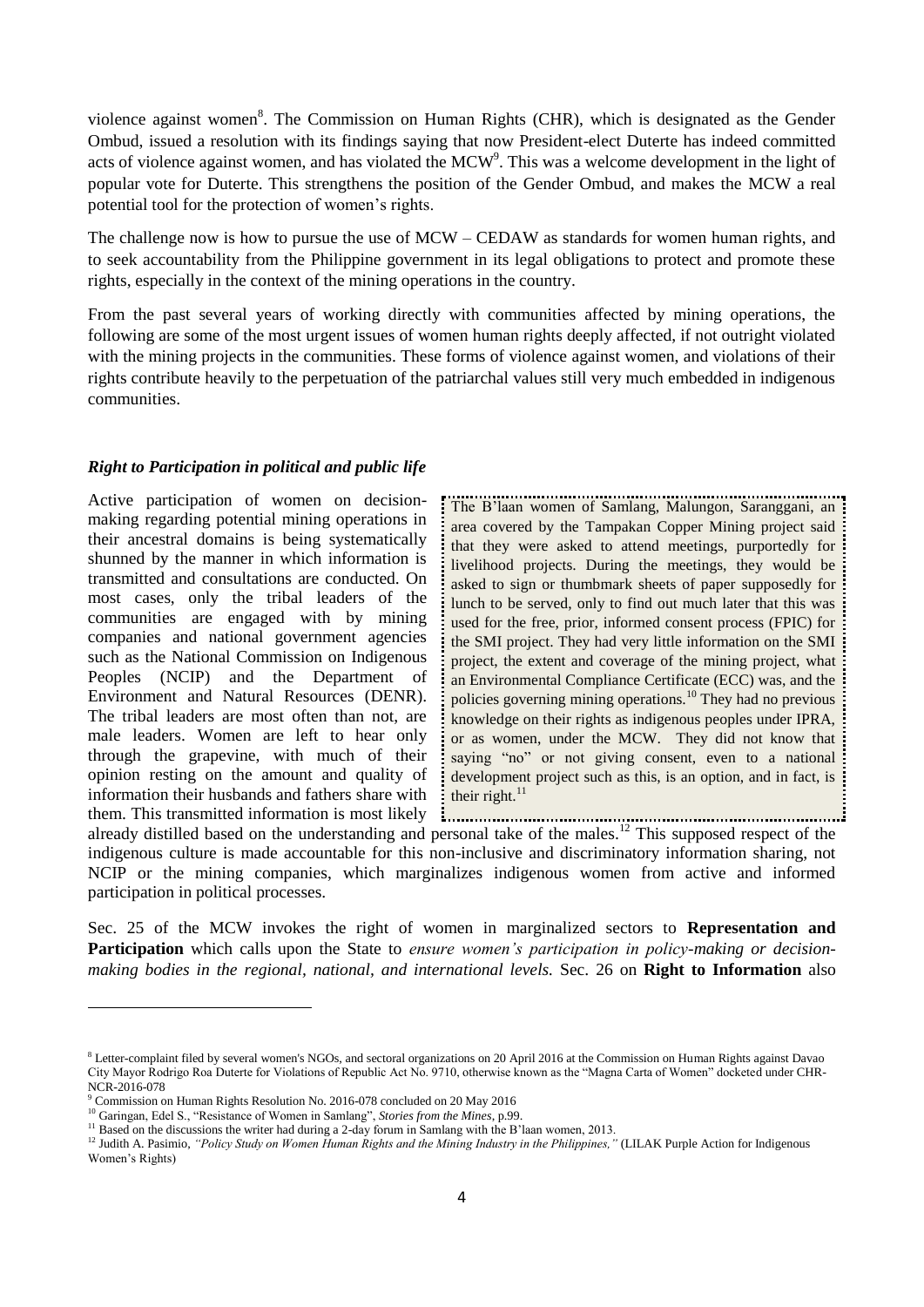violence against women<sup>8</sup>. The Commission on Human Rights (CHR), which is designated as the Gender Ombud, issued a resolution with its findings saying that now President-elect Duterte has indeed committed acts of violence against women, and has violated the  $MCW<sup>9</sup>$ . This was a welcome development in the light of popular vote for Duterte. This strengthens the position of the Gender Ombud, and makes the MCW a real potential tool for the protection of women's rights.

The challenge now is how to pursue the use of MCW – CEDAW as standards for women human rights, and to seek accountability from the Philippine government in its legal obligations to protect and promote these rights, especially in the context of the mining operations in the country.

From the past several years of working directly with communities affected by mining operations, the following are some of the most urgent issues of women human rights deeply affected, if not outright violated with the mining projects in the communities. These forms of violence against women, and violations of their rights contribute heavily to the perpetuation of the patriarchal values still very much embedded in indigenous communities.

# *Right to Participation in political and public life*

Active participation of women on decisionmaking regarding potential mining operations in their ancestral domains is being systematically shunned by the manner in which information is transmitted and consultations are conducted. On most cases, only the tribal leaders of the communities are engaged with by mining companies and national government agencies such as the National Commission on Indigenous Peoples (NCIP) and the Department of Environment and Natural Resources (DENR). The tribal leaders are most often than not, are male leaders. Women are left to hear only through the grapevine, with much of their opinion resting on the amount and quality of information their husbands and fathers share with them. This transmitted information is most likely

.................................... The B'laan women of Samlang, Malungon, Saranggani, an area covered by the Tampakan Copper Mining project said that they were asked to attend meetings, purportedly for livelihood projects. During the meetings, they would be asked to sign or thumbmark sheets of paper supposedly for lunch to be served, only to find out much later that this was used for the free, prior, informed consent process (FPIC) for the SMI project. They had very little information on the SMI project, the extent and coverage of the mining project, what an Environmental Compliance Certificate (ECC) was, and the policies governing mining operations.<sup>10</sup> They had no previous knowledge on their rights as indigenous peoples under IPRA, or as women, under the MCW. They did not know that saying "no" or not giving consent, even to a national development project such as this, is an option, and in fact, is their right. $11$ 

them. This transmitted information is most likely **implementation is already** distilled based on the understanding and personal take of the males.<sup>12</sup> This supposed respect of the indigenous culture is made accountable for this non-inclusive and discriminatory information sharing, not NCIP or the mining companies, which marginalizes indigenous women from active and informed participation in political processes.

Sec. 25 of the MCW invokes the right of women in marginalized sectors to **Representation and Participation** which calls upon the State to *ensure women's participation in policy-making or decisionmaking bodies in the regional, national, and international levels.* Sec. 26 on **Right to Information** also

<sup>&</sup>lt;sup>8</sup> Letter-complaint filed by several women's NGOs, and sectoral organizations on 20 April 2016 at the Commission on Human Rights against Davao City Mayor Rodrigo Roa Duterte for Violations of Republic Act No. 9710, otherwise known as the "Magna Carta of Women" docketed under CHR-NCR-2016-078

<sup>9</sup> Commission on Human Rights Resolution No. 2016-078 concluded on 20 May 2016

<sup>10</sup> Garingan, Edel S., "Resistance of Women in Samlang", *Stories from the Mines*, p.99.

<sup>&</sup>lt;sup>11</sup> Based on the discussions the writer had during a 2-day forum in Samlang with the B'laan women, 2013.

<sup>&</sup>lt;sup>12</sup> Judith A. Pasimio, "Policy Study on Women Human Rights and the Mining Industry in the Philippines," (LILAK Purple Action for Indigenous Women's Rights)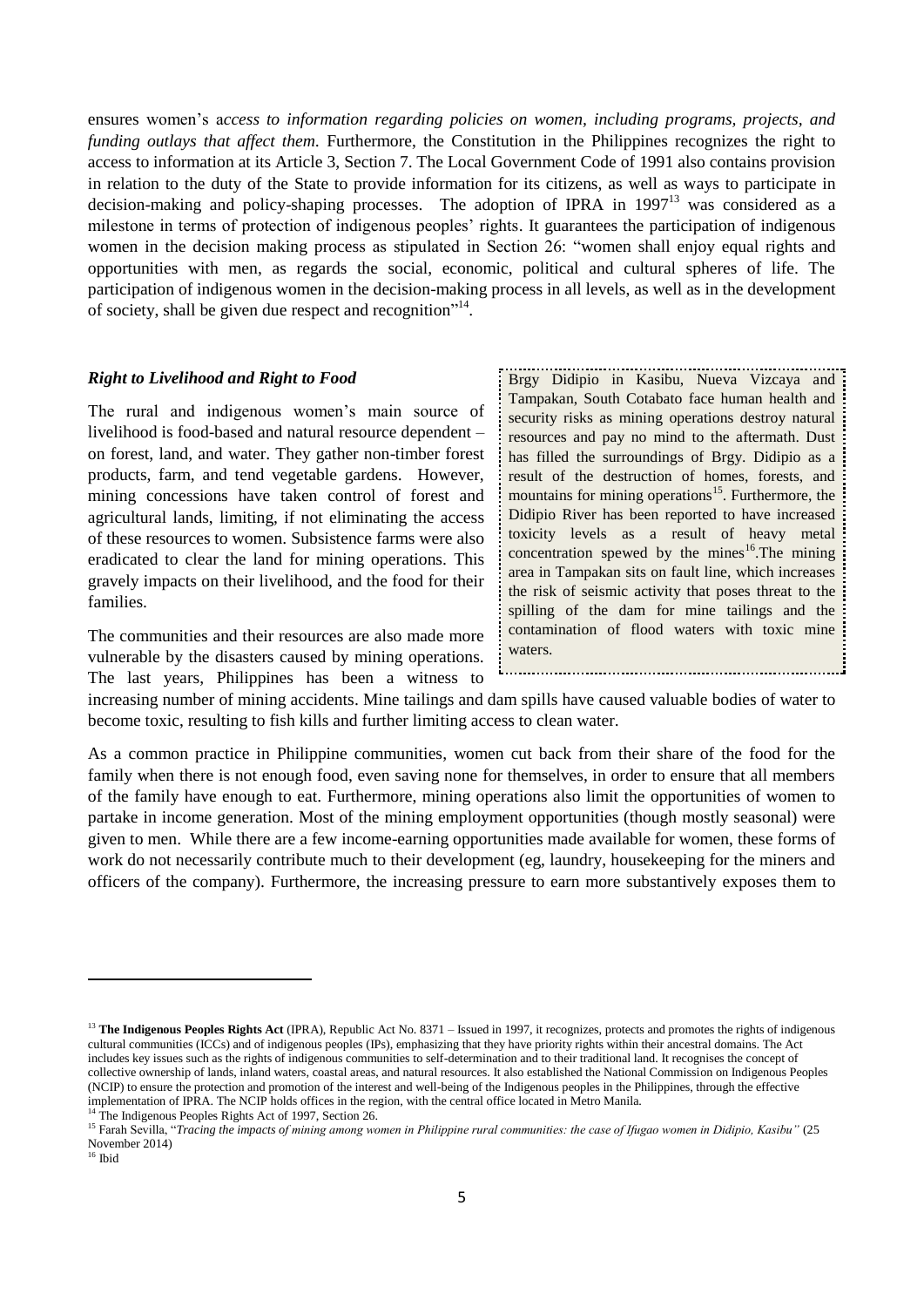ensures women's a*ccess to information regarding policies on women, including programs, projects, and funding outlays that affect them.* Furthermore, the Constitution in the Philippines recognizes the right to access to information at its Article 3, Section 7. The Local Government Code of 1991 also contains provision in relation to the duty of the State to provide information for its citizens, as well as ways to participate in decision-making and policy-shaping processes. The adoption of IPRA in 1997<sup>13</sup> was considered as a milestone in terms of protection of indigenous peoples' rights. It guarantees the participation of indigenous women in the decision making process as stipulated in Section 26: "women shall enjoy equal rights and opportunities with men, as regards the social, economic, political and cultural spheres of life. The participation of indigenous women in the decision-making process in all levels, as well as in the development of society, shall be given due respect and recognition"<sup>14</sup>.

#### *Right to Livelihood and Right to Food*

The rural and indigenous women's main source of livelihood is food-based and natural resource dependent – on forest, land, and water. They gather non-timber forest products, farm, and tend vegetable gardens. However, mining concessions have taken control of forest and agricultural lands, limiting, if not eliminating the access of these resources to women. Subsistence farms were also eradicated to clear the land for mining operations. This gravely impacts on their livelihood, and the food for their families.

The communities and their resources are also made more vulnerable by the disasters caused by mining operations. The last years, Philippines has been a witness to Brgy Didipio in Kasibu, Nueva Vizcaya and Tampakan, South Cotabato face human health and security risks as mining operations destroy natural resources and pay no mind to the aftermath. Dust has filled the surroundings of Brgy. Didipio as a result of the destruction of homes, forests, and mountains for mining operations<sup>15</sup>. Furthermore, the Didipio River has been reported to have increased toxicity levels as a result of heavy metal concentration spewed by the mining mining area in Tampakan sits on fault line, which increases the risk of seismic activity that poses threat to the spilling of the dam for mine tailings and the contamination of flood waters with toxic mine waters.

increasing number of mining accidents. Mine tailings and dam spills have caused valuable bodies of water to become toxic, resulting to fish kills and further limiting access to clean water.

As a common practice in Philippine communities, women cut back from their share of the food for the family when there is not enough food, even saving none for themselves, in order to ensure that all members of the family have enough to eat. Furthermore, mining operations also limit the opportunities of women to partake in income generation. Most of the mining employment opportunities (though mostly seasonal) were given to men. While there are a few income-earning opportunities made available for women, these forms of work do not necessarily contribute much to their development (eg, laundry, housekeeping for the miners and officers of the company). Furthermore, the increasing pressure to earn more substantively exposes them to

<sup>16</sup> Ibid

<sup>&</sup>lt;sup>13</sup> The Indigenous Peoples Rights Act (IPRA), Republic Act No. 8371 – Issued in 1997, it recognizes, protects and promotes the rights of indigenous cultural communities (ICCs) and of indigenous peoples (IPs), emphasizing that they have priority rights within their ancestral domains. The Act includes key issues such as the rights of indigenous communities to self-determination and to their traditional land. It recognises the concept of collective ownership of lands, inland waters, coastal areas, and natural resources. It also established the National Commission on Indigenous Peoples (NCIP) to ensure the protection and promotion of the interest and well-being of the Indigenous peoples in the Philippines, through the effective implementation of IPRA. The NCIP holds offices in the region, with the central office located in Metro Manila. The Indigenous Peoples Rights Act of 1997, Section 26.

<sup>15</sup> Farah Sevilla, "*Tracing the impacts of mining among women in Philippine rural communities: the case of Ifugao women in Didipio, Kasibu"* (25 November 2014)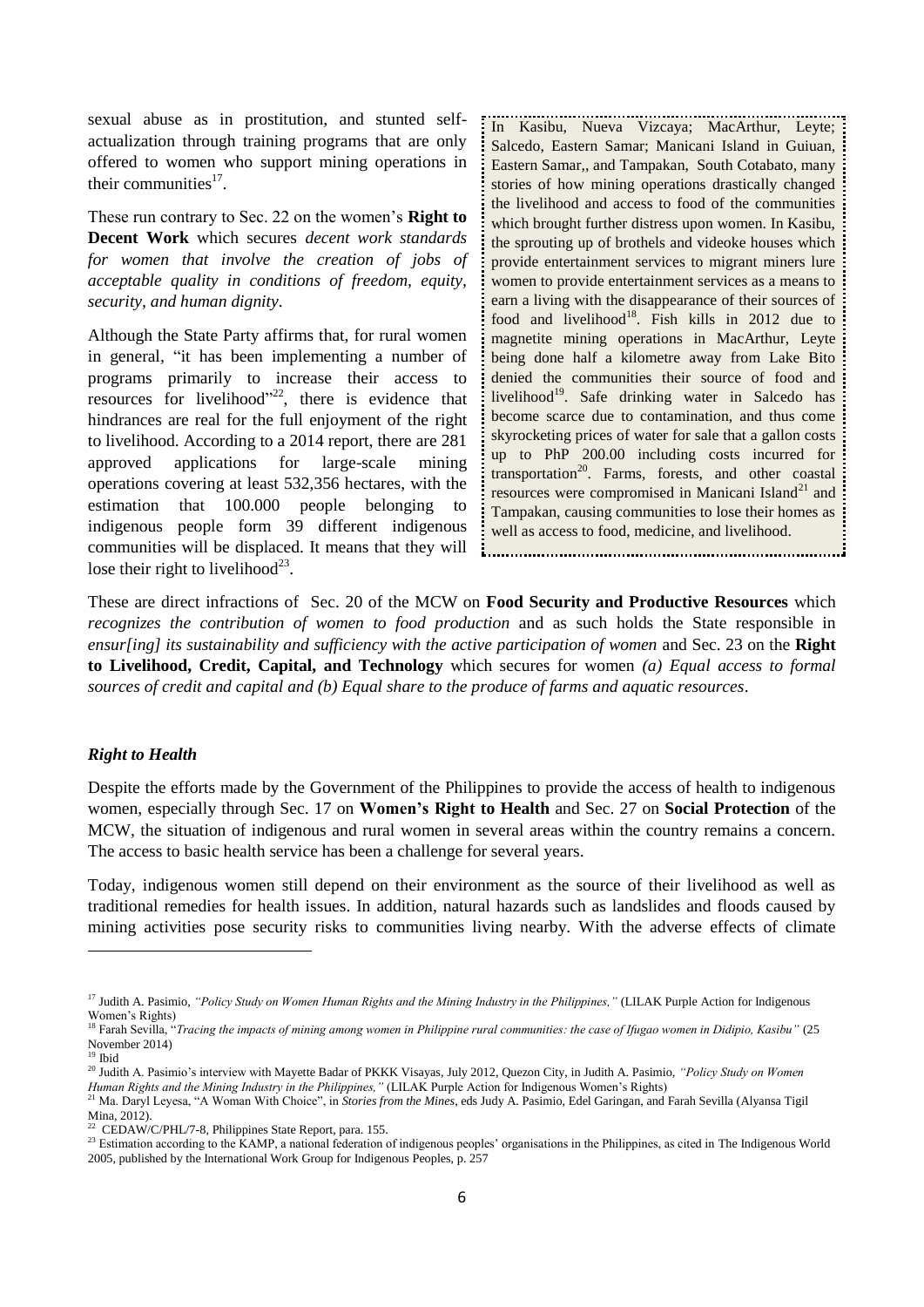sexual abuse as in prostitution, and stunted selfactualization through training programs that are only offered to women who support mining operations in their communities $17$ .

These run contrary to Sec. 22 on the women's **Right to Decent Work** which secures *decent work standards for women that involve the creation of jobs of acceptable quality in conditions of freedom, equity, security, and human dignity*.

Although the State Party affirms that, for rural women in general, "it has been implementing a number of programs primarily to increase their access to resources for livelihood"<sup>22</sup>, there is evidence that hindrances are real for the full enjoyment of the right to livelihood. According to a 2014 report, there are 281 approved applications for large-scale mining operations covering at least 532,356 hectares, with the estimation that 100.000 people belonging to indigenous people form 39 different indigenous communities will be displaced. It means that they will lose their right to livelihood<sup>23</sup>.

In Kasibu, Nueva Vizcaya; MacArthur, Leyte; Salcedo, Eastern Samar; Manicani Island in Guiuan, Eastern Samar,, and Tampakan, South Cotabato, many stories of how mining operations drastically changed the livelihood and access to food of the communities which brought further distress upon women. In Kasibu, the sprouting up of brothels and videoke houses which provide entertainment services to migrant miners lure women to provide entertainment services as a means to earn a living with the disappearance of their sources of food and livelihood<sup>18</sup>. Fish kills in 2012 due to magnetite mining operations in MacArthur, Leyte being done half a kilometre away from Lake Bito denied the communities their source of food and livelihood<sup>19</sup>. Safe drinking water in Salcedo has become scarce due to contamination, and thus come skyrocketing prices of water for sale that a gallon costs up to PhP 200.00 including costs incurred for transportation<sup>20</sup>. Farms, forests, and other coastal resources were compromised in Manicani Island<sup>21</sup> and Tampakan, causing communities to lose their homes as well as access to food, medicine, and livelihood.

These are direct infractions of Sec. 20 of the MCW on **Food Security and Productive Resources** which *recognizes the contribution of women to food production* and as such holds the State responsible in *ensur[ing] its sustainability and sufficiency with the active participation of women* and Sec. 23 on the **Right to Livelihood, Credit, Capital, and Technology** which secures for women *(a) Equal access to formal sources of credit and capital and (b) Equal share to the produce of farms and aquatic resources*.

#### *Right to Health*

**.** 

Despite the efforts made by the Government of the Philippines to provide the access of health to indigenous women, especially through Sec. 17 on **Women's Right to Health** and Sec. 27 on **Social Protection** of the MCW, the situation of indigenous and rural women in several areas within the country remains a concern. The access to basic health service has been a challenge for several years.

Today, indigenous women still depend on their environment as the source of their livelihood as well as traditional remedies for health issues. In addition, natural hazards such as landslides and floods caused by mining activities pose security risks to communities living nearby. With the adverse effects of climate

<sup>&</sup>lt;sup>17</sup> Judith A. Pasimio, "Policy Study on Women Human Rights and the Mining Industry in the Philippines," (LILAK Purple Action for Indigenous Women's Rights)

<sup>18</sup> Farah Sevilla, "*Tracing the impacts of mining among women in Philippine rural communities: the case of Ifugao women in Didipio, Kasibu"* (25 November 2014) <sup>19</sup> Ibid

<sup>20</sup> Judith A. Pasimio's interview with Mayette Badar of PKKK Visayas, July 2012, Quezon City, in Judith A. Pasimio, *"Policy Study on Women Human Rights and the Mining Industry in the Philippines,"* (LILAK Purple Action for Indigenous Women's Rights)<sup>21</sup> Ma Daryl Levesa "A Women With Chainer".

<sup>21</sup> Ma. Daryl Leyesa, "A Woman With Choice", in *Stories from the Mines*, eds Judy A. Pasimio, Edel Garingan, and Farah Sevilla (Alyansa Tigil Mina, 2012).

<sup>&</sup>lt;sup>22</sup> CEDAW/C/PHL/7-8, Philippines State Report, para. 155.

<sup>&</sup>lt;sup>23</sup> Estimation according to the KAMP, a national federation of indigenous peoples' organisations in the Philippines, as cited in The Indigenous World 2005, published by the International Work Group for Indigenous Peoples, p. 257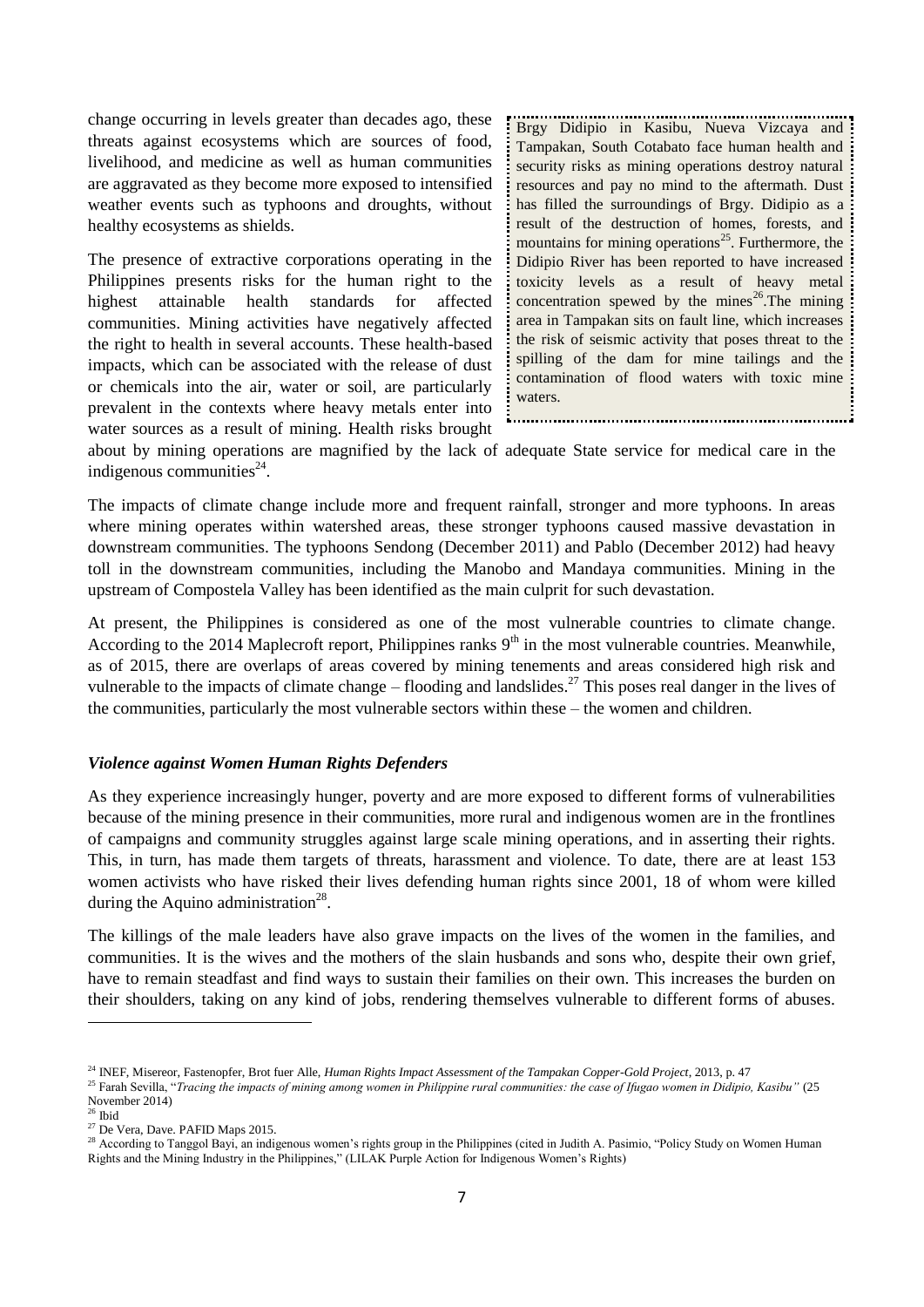change occurring in levels greater than decades ago, these threats against ecosystems which are sources of food, livelihood, and medicine as well as human communities are aggravated as they become more exposed to intensified weather events such as typhoons and droughts, without healthy ecosystems as shields.

The presence of extractive corporations operating in the Philippines presents risks for the human right to the highest attainable health standards for affected communities. Mining activities have negatively affected the right to health in several accounts. These health-based impacts, which can be associated with the release of dust or chemicals into the air, water or soil, are particularly prevalent in the contexts where heavy metals enter into water sources as a result of mining. Health risks brought

Brgy Didipio in Kasibu, Nueva Vizcaya and Tampakan, South Cotabato face human health and: security risks as mining operations destroy natural resources and pay no mind to the aftermath. Dust has filled the surroundings of Brgy. Didipio as a result of the destruction of homes, forests, and mountains for mining operations<sup>25</sup>. Furthermore, the Didipio River has been reported to have increased toxicity levels as a result of heavy metal concentration spewed by the mines<sup>26</sup>.The mining area in Tampakan sits on fault line, which increases the risk of seismic activity that poses threat to the spilling of the dam for mine tailings and the contamination of flood waters with toxic mine waters.

about by mining operations are magnified by the lack of adequate State service for medical care in the indigenous communities $^{24}$ .

The impacts of climate change include more and frequent rainfall, stronger and more typhoons. In areas where mining operates within watershed areas, these stronger typhoons caused massive devastation in downstream communities. The typhoons Sendong (December 2011) and Pablo (December 2012) had heavy toll in the downstream communities, including the Manobo and Mandaya communities. Mining in the upstream of Compostela Valley has been identified as the main culprit for such devastation.

At present, the Philippines is considered as one of the most vulnerable countries to climate change. According to the 2014 Maplecroft report, Philippines ranks  $9<sup>th</sup>$  in the most vulnerable countries. Meanwhile, as of 2015, there are overlaps of areas covered by mining tenements and areas considered high risk and vulnerable to the impacts of climate change – flooding and landslides.<sup>27</sup> This poses real danger in the lives of the communities, particularly the most vulnerable sectors within these – the women and children.

### *Violence against Women Human Rights Defenders*

As they experience increasingly hunger, poverty and are more exposed to different forms of vulnerabilities because of the mining presence in their communities, more rural and indigenous women are in the frontlines of campaigns and community struggles against large scale mining operations, and in asserting their rights. This, in turn, has made them targets of threats, harassment and violence. To date, there are at least 153 women activists who have risked their lives defending human rights since 2001, 18 of whom were killed during the Aquino administration<sup>28</sup>.

The killings of the male leaders have also grave impacts on the lives of the women in the families, and communities. It is the wives and the mothers of the slain husbands and sons who, despite their own grief, have to remain steadfast and find ways to sustain their families on their own. This increases the burden on their shoulders, taking on any kind of jobs, rendering themselves vulnerable to different forms of abuses.

<sup>24</sup> INEF, Misereor, Fastenopfer, Brot fuer Alle, *Human Rights Impact Assessment of the Tampakan Copper-Gold Project*, 2013, p. 47

<sup>25</sup> Farah Sevilla, "*Tracing the impacts of mining among women in Philippine rural communities: the case of Ifugao women in Didipio, Kasibu"* (25 November 2014)

 $26$  Ibid

<sup>27</sup> De Vera, Dave. PAFID Maps 2015.

<sup>&</sup>lt;sup>28</sup> According to Tanggol Bayi, an indigenous women's rights group in the Philippines (cited in Judith A. Pasimio, "Policy Study on Women Human Rights and the Mining Industry in the Philippines," (LILAK Purple Action for Indigenous Women's Rights)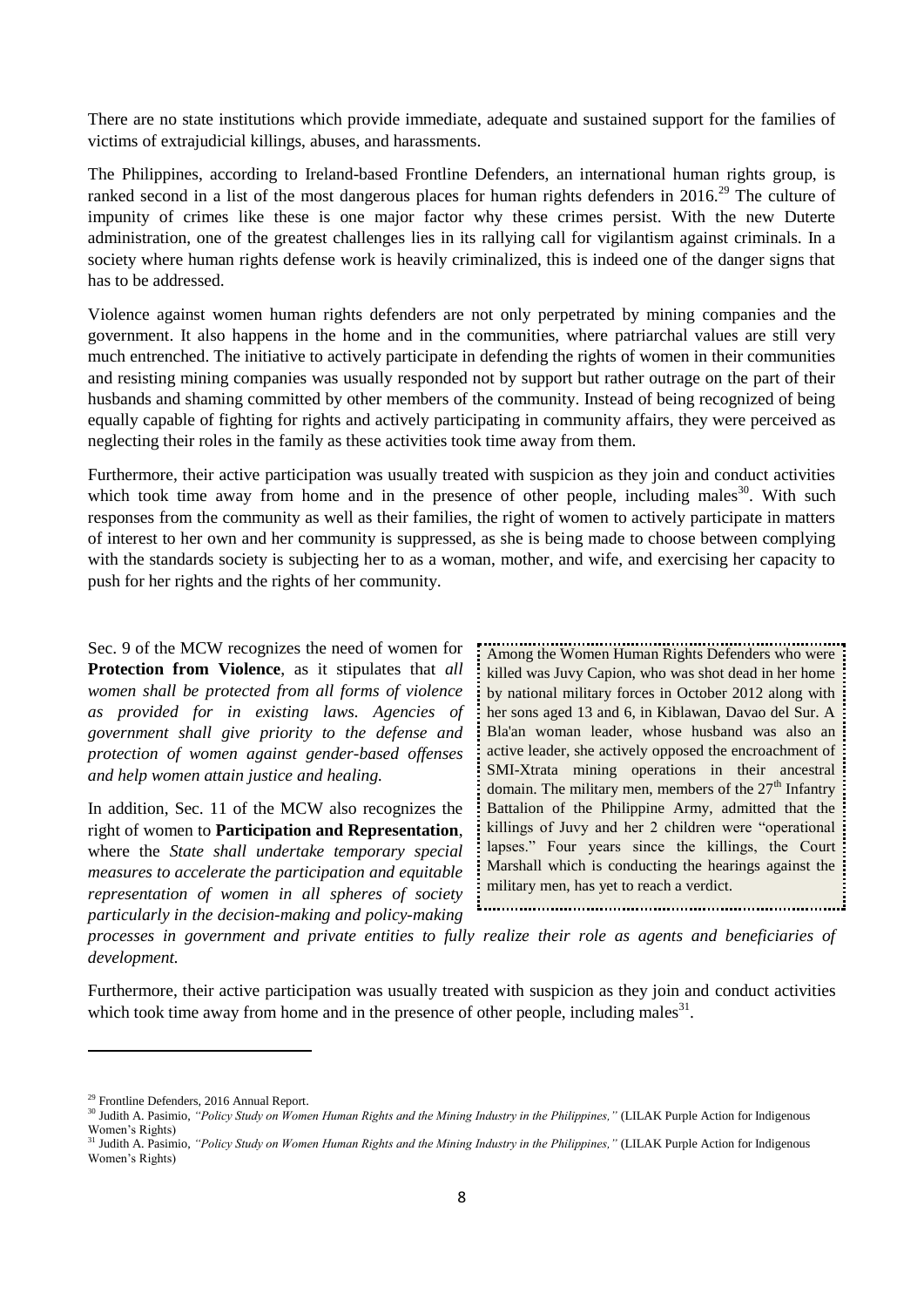There are no state institutions which provide immediate, adequate and sustained support for the families of victims of extrajudicial killings, abuses, and harassments.

The Philippines, according to Ireland-based Frontline Defenders, an international human rights group, is ranked second in a list of the most dangerous places for human rights defenders in 2016.<sup>29</sup> The culture of impunity of crimes like these is one major factor why these crimes persist. With the new Duterte administration, one of the greatest challenges lies in its rallying call for vigilantism against criminals. In a society where human rights defense work is heavily criminalized, this is indeed one of the danger signs that has to be addressed.

Violence against women human rights defenders are not only perpetrated by mining companies and the government. It also happens in the home and in the communities, where patriarchal values are still very much entrenched. The initiative to actively participate in defending the rights of women in their communities and resisting mining companies was usually responded not by support but rather outrage on the part of their husbands and shaming committed by other members of the community. Instead of being recognized of being equally capable of fighting for rights and actively participating in community affairs, they were perceived as neglecting their roles in the family as these activities took time away from them.

Furthermore, their active participation was usually treated with suspicion as they join and conduct activities which took time away from home and in the presence of other people, including males<sup>30</sup>. With such responses from the community as well as their families, the right of women to actively participate in matters of interest to her own and her community is suppressed, as she is being made to choose between complying with the standards society is subjecting her to as a woman, mother, and wife, and exercising her capacity to push for her rights and the rights of her community.

Sec. 9 of the MCW recognizes the need of women for **Protection from Violence**, as it stipulates that *all women shall be protected from all forms of violence as provided for in existing laws. Agencies of government shall give priority to the defense and protection of women against gender-based offenses and help women attain justice and healing.* 

In addition, Sec. 11 of the MCW also recognizes the right of women to **Participation and Representation**, where the *State shall undertake temporary special measures to accelerate the participation and equitable representation of women in all spheres of society particularly in the decision-making and policy-making* 

Among the Women Human Rights Defenders who were killed was Juvy Capion, who was shot dead in her home: by national military forces in October 2012 along with her sons aged 13 and 6, in Kiblawan, Davao del Sur. A Bla'an woman leader, whose husband was also an active leader, she actively opposed the encroachment of SMI-Xtrata mining operations in their ancestral domain. The military men, members of the  $27<sup>th</sup>$  Infantry Battalion of the Philippine Army, admitted that the killings of Juvy and her 2 children were "operational lapses." Four years since the killings, the Court Marshall which is conducting the hearings against the military men, has yet to reach a verdict. 

*processes in government and private entities to fully realize their role as agents and beneficiaries of development.*

Furthermore, their active participation was usually treated with suspicion as they join and conduct activities which took time away from home and in the presence of other people, including males $31$ .

<sup>&</sup>lt;sup>29</sup> Frontline Defenders, 2016 Annual Report.

<sup>&</sup>lt;sup>30</sup> Judith A. Pasimio, *"Policy Study on Women Human Rights and the Mining Industry in the Philippines,"* (LILAK Purple Action for Indigenous Women's Rights)

<sup>&</sup>lt;sup>31</sup> Judith A. Pasimio, "Policy Study on Women Human Rights and the Mining Industry in the Philippines," (LILAK Purple Action for Indigenous Women's Rights)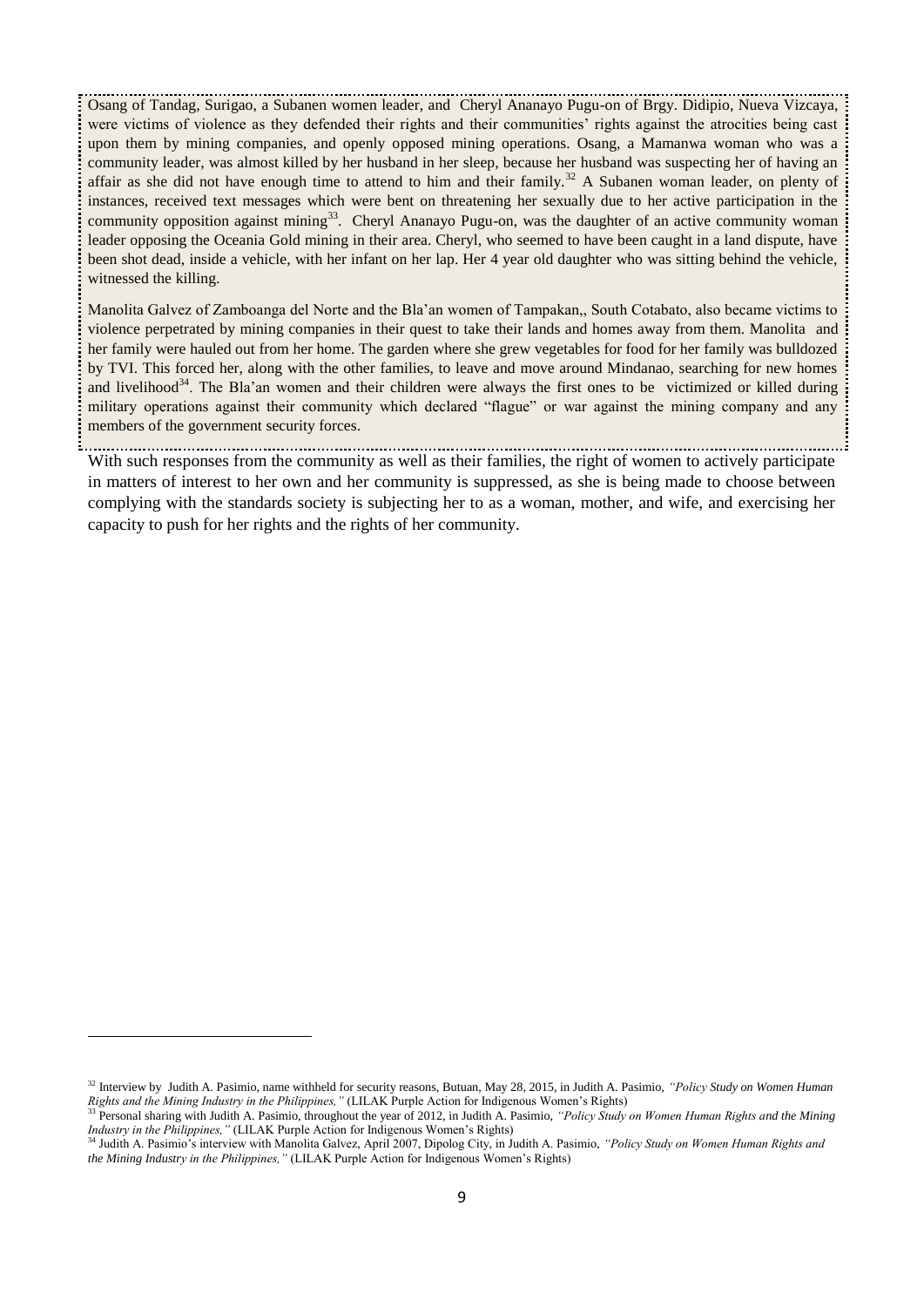Osang of Tandag, Surigao, a Subanen women leader, and Cheryl Ananayo Pugu-on of Brgy. Didipio, Nueva Vizcaya, were victims of violence as they defended their rights and their communities' rights against the atrocities being cast upon them by mining companies, and openly opposed mining operations. Osang, a Mamanwa woman who was a community leader, was almost killed by her husband in her sleep, because her husband was suspecting her of having an affair as she did not have enough time to attend to him and their family.<sup>32</sup> A Subanen woman leader, on plenty of instances, received text messages which were bent on threatening her sexually due to her active participation in the community opposition against mining<sup>33</sup>. Cheryl Ananayo Pugu-on, was the daughter of an active community woman leader opposing the Oceania Gold mining in their area. Cheryl, who seemed to have been caught in a land dispute, have been shot dead, inside a vehicle, with her infant on her lap. Her 4 year old daughter who was sitting behind the vehicle, witnessed the killing.

Manolita Galvez of Zamboanga del Norte and the Bla'an women of Tampakan,, South Cotabato, also became victims to violence perpetrated by mining companies in their quest to take their lands and homes away from them. Manolita and her family were hauled out from her home. The garden where she grew vegetables for food for her family was bulldozed by TVI. This forced her, along with the other families, to leave and move around Mindanao, searching for new homes and livelihood<sup>34</sup>. The Bla'an women and their children were always the first ones to be victimized or killed during military operations against their community which declared "flague" or war against the mining company and any members of the government security forces.

With such responses from the community as well as their families, the right of women to actively participate in matters of interest to her own and her community is suppressed, as she is being made to choose between complying with the standards society is subjecting her to as a woman, mother, and wife, and exercising her capacity to push for her rights and the rights of her community.

<sup>32</sup> Interview by Judith A. Pasimio, name withheld for security reasons, Butuan, May 28, 2015, in Judith A. Pasimio, *"Policy Study on Women Human Rights and the Mining Industry in the Philippines,"* (LILAK Purple Action for Indigenous Women's Rights)

<sup>33</sup> Personal sharing with Judith A. Pasimio, throughout the year of 2012, in Judith A. Pasimio, *"Policy Study on Women Human Rights and the Mining Industry in the Philippines,"* (LILAK Purple Action for Indigenous Women's Rights)

<sup>34</sup> Judith A. Pasimio's interview with Manolita Galvez, April 2007, Dipolog City, in Judith A. Pasimio, *"Policy Study on Women Human Rights and the Mining Industry in the Philippines,"* (LILAK Purple Action for Indigenous Women's Rights)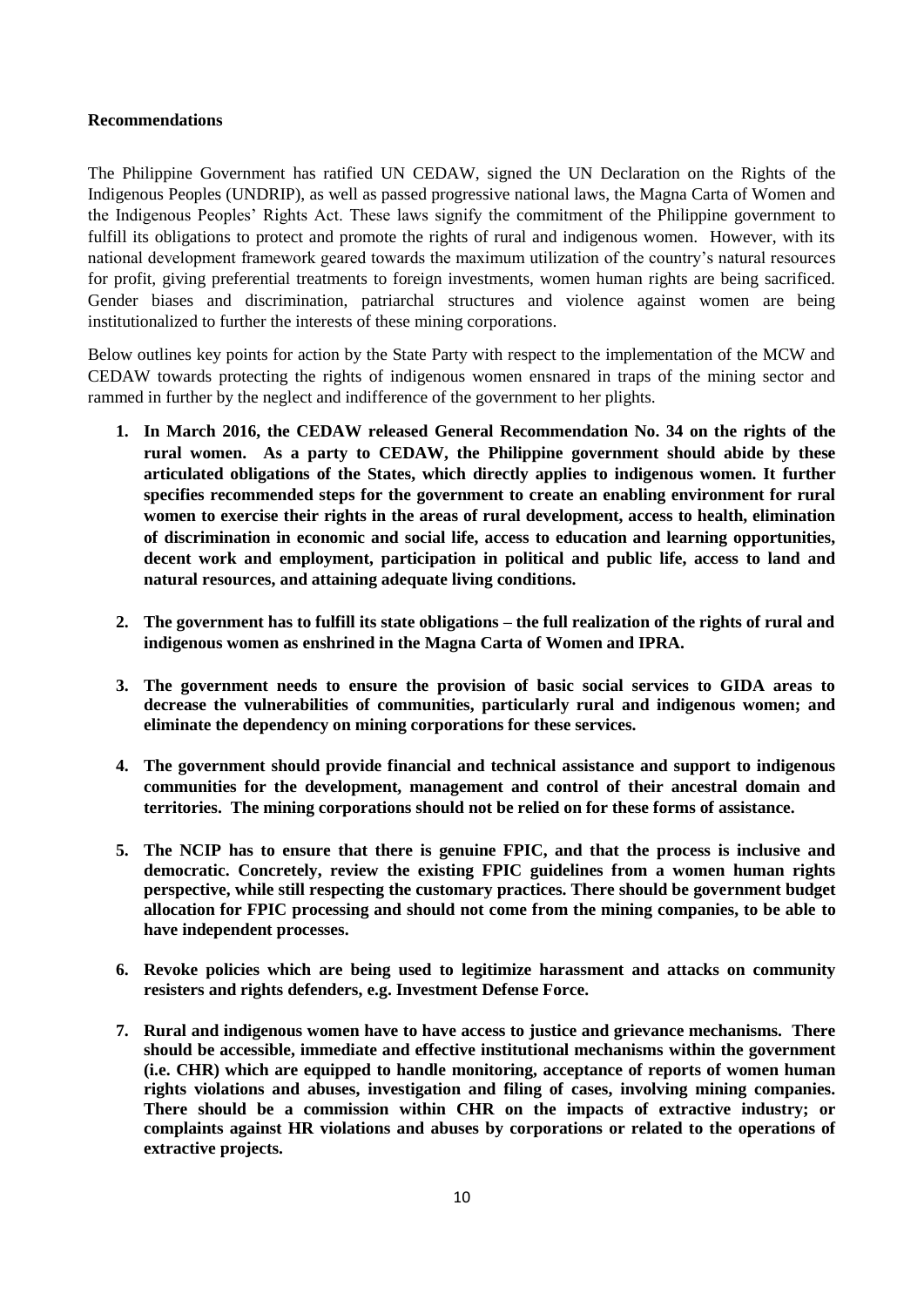#### **Recommendations**

The Philippine Government has ratified UN CEDAW, signed the UN Declaration on the Rights of the Indigenous Peoples (UNDRIP), as well as passed progressive national laws, the Magna Carta of Women and the Indigenous Peoples' Rights Act. These laws signify the commitment of the Philippine government to fulfill its obligations to protect and promote the rights of rural and indigenous women. However, with its national development framework geared towards the maximum utilization of the country's natural resources for profit, giving preferential treatments to foreign investments, women human rights are being sacrificed. Gender biases and discrimination, patriarchal structures and violence against women are being institutionalized to further the interests of these mining corporations.

Below outlines key points for action by the State Party with respect to the implementation of the MCW and CEDAW towards protecting the rights of indigenous women ensnared in traps of the mining sector and rammed in further by the neglect and indifference of the government to her plights.

- **1. In March 2016, the CEDAW released General Recommendation No. 34 on the rights of the rural women. As a party to CEDAW, the Philippine government should abide by these articulated obligations of the States, which directly applies to indigenous women. It further specifies recommended steps for the government to create an enabling environment for rural women to exercise their rights in the areas of rural development, access to health, elimination of discrimination in economic and social life, access to education and learning opportunities, decent work and employment, participation in political and public life, access to land and natural resources, and attaining adequate living conditions.**
- **2. The government has to fulfill its state obligations – the full realization of the rights of rural and indigenous women as enshrined in the Magna Carta of Women and IPRA.**
- **3. The government needs to ensure the provision of basic social services to GIDA areas to decrease the vulnerabilities of communities, particularly rural and indigenous women; and eliminate the dependency on mining corporations for these services.**
- **4. The government should provide financial and technical assistance and support to indigenous communities for the development, management and control of their ancestral domain and territories. The mining corporations should not be relied on for these forms of assistance.**
- **5. The NCIP has to ensure that there is genuine FPIC, and that the process is inclusive and democratic. Concretely, review the existing FPIC guidelines from a women human rights perspective, while still respecting the customary practices. There should be government budget allocation for FPIC processing and should not come from the mining companies, to be able to have independent processes.**
- **6. Revoke policies which are being used to legitimize harassment and attacks on community resisters and rights defenders, e.g. Investment Defense Force.**
- **7. Rural and indigenous women have to have access to justice and grievance mechanisms. There should be accessible, immediate and effective institutional mechanisms within the government (i.e. CHR) which are equipped to handle monitoring, acceptance of reports of women human rights violations and abuses, investigation and filing of cases, involving mining companies. There should be a commission within CHR on the impacts of extractive industry; or complaints against HR violations and abuses by corporations or related to the operations of extractive projects.**